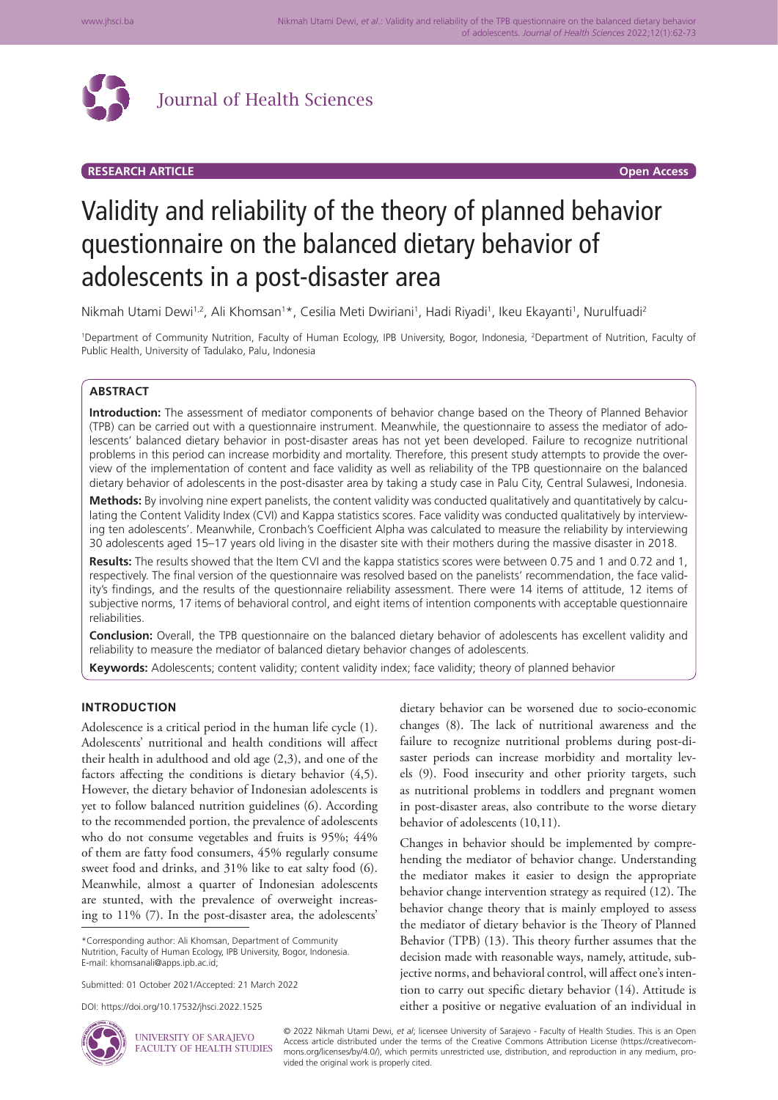

# **RESEARCH ARTICLE Open Access**

# Validity and reliability of the theory of planned behavior questionnaire on the balanced dietary behavior of adolescents in a post-disaster area

Nikmah Utami Dewi<sup>1,2</sup>, Ali Khomsan<sup>1\*</sup>, Cesilia Meti Dwiriani<sup>1</sup>, Hadi Riyadi<sup>1</sup>, Ikeu Ekayanti<sup>1</sup>, Nurulfuadi<sup>2</sup>

<sup>1</sup>Department of Community Nutrition, Faculty of Human Ecology, IPB University, Bogor, Indonesia, <sup>2</sup>Department of Nutrition, Faculty of Public Health, University of Tadulako, Palu, Indonesia

# **ABSTRACT**

**Introduction:** The assessment of mediator components of behavior change based on the Theory of Planned Behavior (TPB) can be carried out with a questionnaire instrument. Meanwhile, the questionnaire to assess the mediator of adolescents' balanced dietary behavior in post-disaster areas has not yet been developed. Failure to recognize nutritional problems in this period can increase morbidity and mortality. Therefore, this present study attempts to provide the overview of the implementation of content and face validity as well as reliability of the TPB questionnaire on the balanced dietary behavior of adolescents in the post-disaster area by taking a study case in Palu City, Central Sulawesi, Indonesia.

**Methods:** By involving nine expert panelists, the content validity was conducted qualitatively and quantitatively by calculating the Content Validity Index (CVI) and Kappa statistics scores. Face validity was conducted qualitatively by interviewing ten adolescents'. Meanwhile, Cronbach's Coefficient Alpha was calculated to measure the reliability by interviewing 30 adolescents aged 15–17 years old living in the disaster site with their mothers during the massive disaster in 2018.

**Results:** The results showed that the Item CVI and the kappa statistics scores were between 0.75 and 1 and 0.72 and 1, respectively. The final version of the questionnaire was resolved based on the panelists' recommendation, the face validity's findings, and the results of the questionnaire reliability assessment. There were 14 items of attitude, 12 items of subjective norms, 17 items of behavioral control, and eight items of intention components with acceptable questionnaire reliabilities.

**Conclusion:** Overall, the TPB questionnaire on the balanced dietary behavior of adolescents has excellent validity and reliability to measure the mediator of balanced dietary behavior changes of adolescents.

**Keywords:** Adolescents; content validity; content validity index; face validity; theory of planned behavior

## **INTRODUCTION**

Adolescence is a critical period in the human life cycle (1). Adolescents' nutritional and health conditions will affect their health in adulthood and old age (2,3), and one of the factors affecting the conditions is dietary behavior (4,5). However, the dietary behavior of Indonesian adolescents is yet to follow balanced nutrition guidelines (6). According to the recommended portion, the prevalence of adolescents who do not consume vegetables and fruits is 95%; 44% of them are fatty food consumers, 45% regularly consume sweet food and drinks, and 31% like to eat salty food (6). Meanwhile, almost a quarter of Indonesian adolescents are stunted, with the prevalence of overweight increasing to 11% (7). In the post-disaster area, the adolescents'

\*Corresponding author: Ali Khomsan, Department of Community Nutrition, Faculty of Human Ecology, IPB University, Bogor, Indonesia. E-mail: khomsanali@apps.ipb.ac.id;

Submitted: 01 October 2021/Accepted: 21 March 2022

UNIVERSITY OF SARAJEVO

DOI: https://doi.org/10.17532/jhsci.2022.1525



dietary behavior can be worsened due to socio-economic changes (8). The lack of nutritional awareness and the failure to recognize nutritional problems during post-disaster periods can increase morbidity and mortality levels (9). Food insecurity and other priority targets, such as nutritional problems in toddlers and pregnant women in post-disaster areas, also contribute to the worse dietary behavior of adolescents (10,11).

Changes in behavior should be implemented by comprehending the mediator of behavior change. Understanding the mediator makes it easier to design the appropriate behavior change intervention strategy as required (12). The behavior change theory that is mainly employed to assess the mediator of dietary behavior is the Theory of Planned Behavior (TPB) (13). This theory further assumes that the decision made with reasonable ways, namely, attitude, subjective norms, and behavioral control, will affect one's intention to carry out specific dietary behavior (14). Attitude is either a positive or negative evaluation of an individual in

FACULTY OF HEALTH STUDIES © 2022 Nikmah Utami Dewi, *et al*; licensee University of Sarajevo - Faculty of Health Studies. This is an Open Access article distributed under the terms of the Creative Commons Attribution License (https://creativecommons.org/licenses/by/4.0/), which permits unrestricted use, distribution, and reproduction in any medium, provided the original work is properly cited.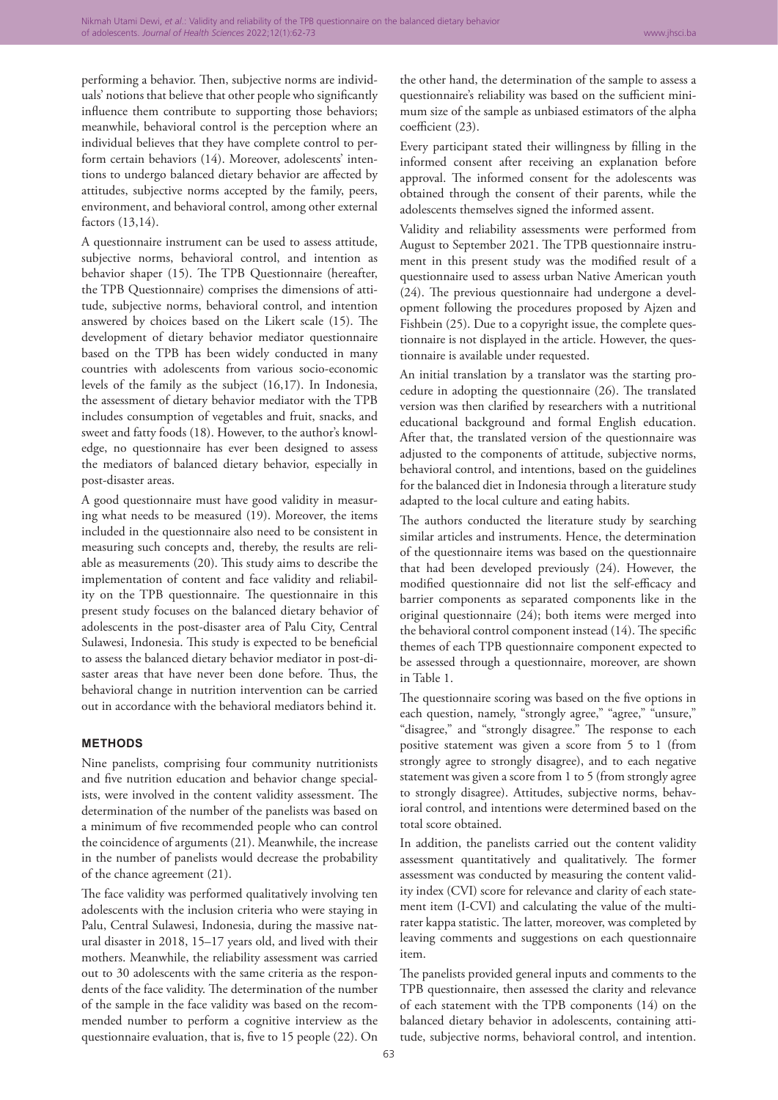performing a behavior. Then, subjective norms are individuals' notions that believe that other people who significantly influence them contribute to supporting those behaviors; meanwhile, behavioral control is the perception where an individual believes that they have complete control to perform certain behaviors (14). Moreover, adolescents' intentions to undergo balanced dietary behavior are affected by attitudes, subjective norms accepted by the family, peers, environment, and behavioral control, among other external factors (13,14).

A questionnaire instrument can be used to assess attitude, subjective norms, behavioral control, and intention as behavior shaper (15). The TPB Questionnaire (hereafter, the TPB Questionnaire) comprises the dimensions of attitude, subjective norms, behavioral control, and intention answered by choices based on the Likert scale (15). The development of dietary behavior mediator questionnaire based on the TPB has been widely conducted in many countries with adolescents from various socio-economic levels of the family as the subject (16,17). In Indonesia, the assessment of dietary behavior mediator with the TPB includes consumption of vegetables and fruit, snacks, and sweet and fatty foods (18). However, to the author's knowledge, no questionnaire has ever been designed to assess the mediators of balanced dietary behavior, especially in post-disaster areas.

A good questionnaire must have good validity in measuring what needs to be measured (19). Moreover, the items included in the questionnaire also need to be consistent in measuring such concepts and, thereby, the results are reliable as measurements (20). This study aims to describe the implementation of content and face validity and reliability on the TPB questionnaire. The questionnaire in this present study focuses on the balanced dietary behavior of adolescents in the post-disaster area of Palu City, Central Sulawesi, Indonesia. This study is expected to be beneficial to assess the balanced dietary behavior mediator in post-disaster areas that have never been done before. Thus, the behavioral change in nutrition intervention can be carried out in accordance with the behavioral mediators behind it.

#### **METHODS**

Nine panelists, comprising four community nutritionists and five nutrition education and behavior change specialists, were involved in the content validity assessment. The determination of the number of the panelists was based on a minimum of five recommended people who can control the coincidence of arguments (21). Meanwhile, the increase in the number of panelists would decrease the probability of the chance agreement (21).

The face validity was performed qualitatively involving ten adolescents with the inclusion criteria who were staying in Palu, Central Sulawesi, Indonesia, during the massive natural disaster in 2018, 15–17 years old, and lived with their mothers. Meanwhile, the reliability assessment was carried out to 30 adolescents with the same criteria as the respondents of the face validity. The determination of the number of the sample in the face validity was based on the recommended number to perform a cognitive interview as the questionnaire evaluation, that is, five to 15 people (22). On

the other hand, the determination of the sample to assess a questionnaire's reliability was based on the sufficient minimum size of the sample as unbiased estimators of the alpha coefficient (23).

Every participant stated their willingness by filling in the informed consent after receiving an explanation before approval. The informed consent for the adolescents was obtained through the consent of their parents, while the adolescents themselves signed the informed assent.

Validity and reliability assessments were performed from August to September 2021. The TPB questionnaire instrument in this present study was the modified result of a questionnaire used to assess urban Native American youth (24). The previous questionnaire had undergone a development following the procedures proposed by Ajzen and Fishbein (25). Due to a copyright issue, the complete questionnaire is not displayed in the article. However, the questionnaire is available under requested.

An initial translation by a translator was the starting procedure in adopting the questionnaire (26). The translated version was then clarified by researchers with a nutritional educational background and formal English education. After that, the translated version of the questionnaire was adjusted to the components of attitude, subjective norms, behavioral control, and intentions, based on the guidelines for the balanced diet in Indonesia through a literature study adapted to the local culture and eating habits.

The authors conducted the literature study by searching similar articles and instruments. Hence, the determination of the questionnaire items was based on the questionnaire that had been developed previously (24). However, the modified questionnaire did not list the self-efficacy and barrier components as separated components like in the original questionnaire (24); both items were merged into the behavioral control component instead (14). The specific themes of each TPB questionnaire component expected to be assessed through a questionnaire, moreover, are shown in Table 1.

The questionnaire scoring was based on the five options in each question, namely, "strongly agree," "agree," "unsure," "disagree," and "strongly disagree." The response to each positive statement was given a score from 5 to 1 (from strongly agree to strongly disagree), and to each negative statement was given a score from 1 to 5 (from strongly agree to strongly disagree). Attitudes, subjective norms, behavioral control, and intentions were determined based on the total score obtained.

In addition, the panelists carried out the content validity assessment quantitatively and qualitatively. The former assessment was conducted by measuring the content validity index (CVI) score for relevance and clarity of each statement item (I-CVI) and calculating the value of the multirater kappa statistic. The latter, moreover, was completed by leaving comments and suggestions on each questionnaire item.

The panelists provided general inputs and comments to the TPB questionnaire, then assessed the clarity and relevance of each statement with the TPB components (14) on the balanced dietary behavior in adolescents, containing attitude, subjective norms, behavioral control, and intention.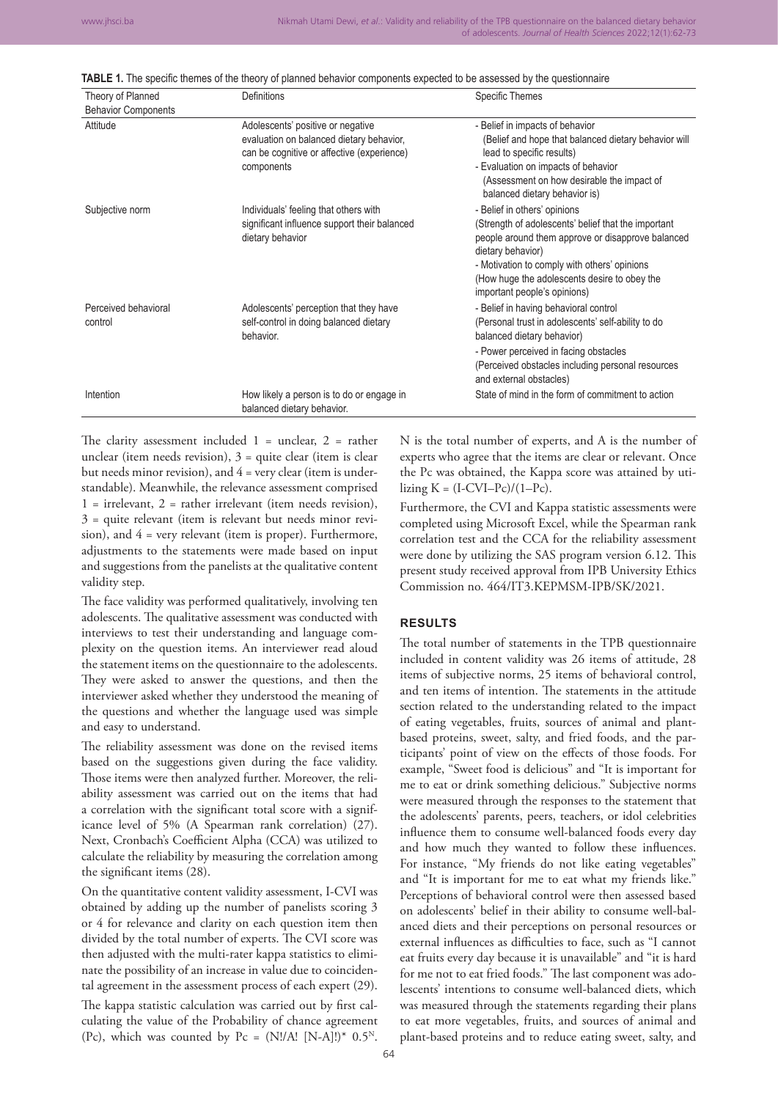| TABLE 1. The specific themes of the theory of planned behavior components expected to be assessed by the questionnaire |  |  |  |  |  |  |  |
|------------------------------------------------------------------------------------------------------------------------|--|--|--|--|--|--|--|
|------------------------------------------------------------------------------------------------------------------------|--|--|--|--|--|--|--|

| Theory of Planned               | Definitions                                                                                                                               | <b>Specific Themes</b>                                                                                                                                                                                                                                                                        |
|---------------------------------|-------------------------------------------------------------------------------------------------------------------------------------------|-----------------------------------------------------------------------------------------------------------------------------------------------------------------------------------------------------------------------------------------------------------------------------------------------|
| <b>Behavior Components</b>      |                                                                                                                                           |                                                                                                                                                                                                                                                                                               |
| Attitude                        | Adolescents' positive or negative<br>evaluation on balanced dietary behavior,<br>can be cognitive or affective (experience)<br>components | - Belief in impacts of behavior<br>(Belief and hope that balanced dietary behavior will<br>lead to specific results)<br>- Evaluation on impacts of behavior<br>(Assessment on how desirable the impact of<br>balanced dietary behavior is)                                                    |
| Subjective norm                 | Individuals' feeling that others with<br>significant influence support their balanced<br>dietary behavior                                 | - Belief in others' opinions<br>(Strength of adolescents' belief that the important<br>people around them approve or disapprove balanced<br>dietary behavior)<br>- Motivation to comply with others' opinions<br>(How huge the adolescents desire to obey the<br>important people's opinions) |
| Perceived behavioral<br>control | Adolescents' perception that they have<br>self-control in doing balanced dietary<br>behavior.                                             | - Belief in having behavioral control<br>(Personal trust in adolescents' self-ability to do<br>balanced dietary behavior)<br>- Power perceived in facing obstacles<br>(Perceived obstacles including personal resources<br>and external obstacles)                                            |
| Intention                       | How likely a person is to do or engage in<br>balanced dietary behavior.                                                                   | State of mind in the form of commitment to action                                                                                                                                                                                                                                             |

The clarity assessment included  $1$  = unclear,  $2$  = rather unclear (item needs revision), 3 = quite clear (item is clear but needs minor revision), and  $4$  = very clear (item is understandable). Meanwhile, the relevance assessment comprised 1 = irrelevant, 2 = rather irrelevant (item needs revision), 3 = quite relevant (item is relevant but needs minor revision), and 4 = very relevant (item is proper). Furthermore, adjustments to the statements were made based on input and suggestions from the panelists at the qualitative content validity step.

The face validity was performed qualitatively, involving ten adolescents. The qualitative assessment was conducted with interviews to test their understanding and language complexity on the question items. An interviewer read aloud the statement items on the questionnaire to the adolescents. They were asked to answer the questions, and then the interviewer asked whether they understood the meaning of the questions and whether the language used was simple and easy to understand.

The reliability assessment was done on the revised items based on the suggestions given during the face validity. Those items were then analyzed further. Moreover, the reliability assessment was carried out on the items that had a correlation with the significant total score with a significance level of 5% (A Spearman rank correlation) (27). Next, Cronbach's Coefficient Alpha (CCA) was utilized to calculate the reliability by measuring the correlation among the significant items (28).

On the quantitative content validity assessment, I-CVI was obtained by adding up the number of panelists scoring 3 or 4 for relevance and clarity on each question item then divided by the total number of experts. The CVI score was then adjusted with the multi-rater kappa statistics to eliminate the possibility of an increase in value due to coincidental agreement in the assessment process of each expert (29).

The kappa statistic calculation was carried out by first calculating the value of the Probability of chance agreement (Pc), which was counted by Pc =  $(N!/A! \ [N-A]!)^*$  0.5<sup>N</sup>.

N is the total number of experts, and A is the number of experts who agree that the items are clear or relevant. Once the Pc was obtained, the Kappa score was attained by utilizing  $K = (I-CVI-Pc)/(1-Pc)$ .

Furthermore, the CVI and Kappa statistic assessments were completed using Microsoft Excel, while the Spearman rank correlation test and the CCA for the reliability assessment were done by utilizing the SAS program version 6.12. This present study received approval from IPB University Ethics Commission no. 464/IT3.KEPMSM-IPB/SK/2021.

# **RESULTS**

The total number of statements in the TPB questionnaire included in content validity was 26 items of attitude, 28 items of subjective norms, 25 items of behavioral control, and ten items of intention. The statements in the attitude section related to the understanding related to the impact of eating vegetables, fruits, sources of animal and plantbased proteins, sweet, salty, and fried foods, and the participants' point of view on the effects of those foods. For example, "Sweet food is delicious" and "It is important for me to eat or drink something delicious." Subjective norms were measured through the responses to the statement that the adolescents' parents, peers, teachers, or idol celebrities influence them to consume well-balanced foods every day and how much they wanted to follow these influences. For instance, "My friends do not like eating vegetables" and "It is important for me to eat what my friends like." Perceptions of behavioral control were then assessed based on adolescents' belief in their ability to consume well-balanced diets and their perceptions on personal resources or external influences as difficulties to face, such as "I cannot eat fruits every day because it is unavailable" and "it is hard for me not to eat fried foods." The last component was adolescents' intentions to consume well-balanced diets, which was measured through the statements regarding their plans to eat more vegetables, fruits, and sources of animal and plant-based proteins and to reduce eating sweet, salty, and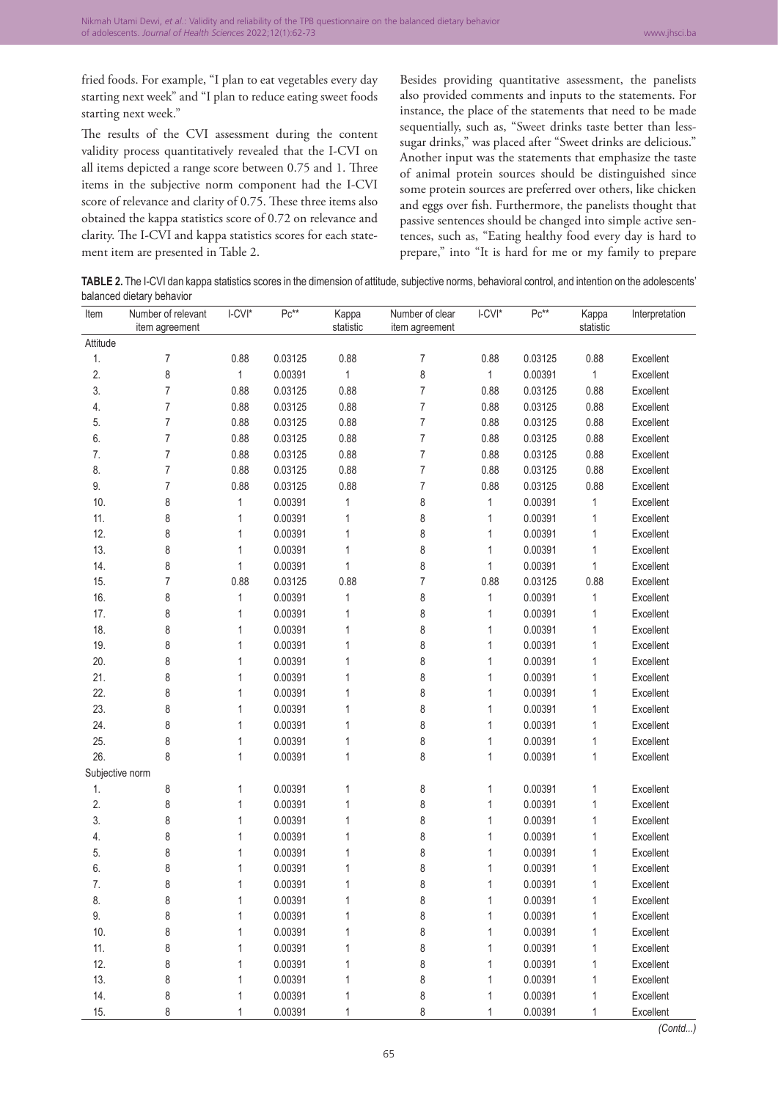fried foods. For example, "I plan to eat vegetables every day starting next week" and "I plan to reduce eating sweet foods starting next week."

The results of the CVI assessment during the content validity process quantitatively revealed that the I-CVI on all items depicted a range score between 0.75 and 1. Three items in the subjective norm component had the I-CVI score of relevance and clarity of 0.75. These three items also obtained the kappa statistics score of 0.72 on relevance and clarity. The I-CVI and kappa statistics scores for each statement item are presented in Table 2.

Besides providing quantitative assessment, the panelists also provided comments and inputs to the statements. For instance, the place of the statements that need to be made sequentially, such as, "Sweet drinks taste better than lesssugar drinks," was placed after "Sweet drinks are delicious." Another input was the statements that emphasize the taste of animal protein sources should be distinguished since some protein sources are preferred over others, like chicken and eggs over fish. Furthermore, the panelists thought that passive sentences should be changed into simple active sentences, such as, "Eating healthy food every day is hard to prepare," into "It is hard for me or my family to prepare

TABLE 2. The I-CVI dan kappa statistics scores in the dimension of attitude, subjective norms, behavioral control, and intention on the adolescents' balanced dietary behavior

| Item            | Number of relevant<br>item agreement | I-CVI*       | $Pc^{**}$ | Kappa<br>statistic | Number of clear<br>item agreement | I-CVI*       | $Pc^{**}$ | Kappa<br>statistic | Interpretation |
|-----------------|--------------------------------------|--------------|-----------|--------------------|-----------------------------------|--------------|-----------|--------------------|----------------|
| Attitude        |                                      |              |           |                    |                                   |              |           |                    |                |
| 1.              | 7                                    | 0.88         | 0.03125   | 0.88               | 7                                 | 0.88         | 0.03125   | 0.88               | Excellent      |
| 2.              | 8                                    | 1            | 0.00391   | 1                  | 8                                 | $\mathbf{1}$ | 0.00391   | 1                  | Excellent      |
| 3.              | 7                                    | 0.88         | 0.03125   | 0.88               | $\overline{7}$                    | 0.88         | 0.03125   | 0.88               | Excellent      |
| 4.              | 7                                    | 0.88         | 0.03125   | 0.88               | 7                                 | 0.88         | 0.03125   | 0.88               | Excellent      |
| 5.              | 7                                    | 0.88         | 0.03125   | 0.88               | 7                                 | 0.88         | 0.03125   | 0.88               | Excellent      |
| 6.              | 7                                    | 0.88         | 0.03125   | 0.88               | 7                                 | 0.88         | 0.03125   | 0.88               | Excellent      |
| 7.              | 7                                    | 0.88         | 0.03125   | 0.88               | $\overline{7}$                    | 0.88         | 0.03125   | 0.88               | Excellent      |
| 8.              | 7                                    | 0.88         | 0.03125   | 0.88               | $\overline{7}$                    | 0.88         | 0.03125   | 0.88               | Excellent      |
| 9.              | 7                                    | 0.88         | 0.03125   | 0.88               | $\overline{7}$                    | 0.88         | 0.03125   | 0.88               | Excellent      |
| 10.             | 8                                    | 1            | 0.00391   | 1                  | 8                                 | 1            | 0.00391   | 1                  | Excellent      |
| 11.             | 8                                    | 1            | 0.00391   | 1                  | 8                                 | 1            | 0.00391   | 1                  | Excellent      |
| 12.             | 8                                    | 1            | 0.00391   | 1                  | 8                                 | 1            | 0.00391   | 1                  | Excellent      |
| 13.             | 8                                    | 1            | 0.00391   | 1                  | 8                                 | 1            | 0.00391   | 1                  | Excellent      |
| 14.             | 8                                    | 1            | 0.00391   | 1                  | 8                                 | 1            | 0.00391   | 1                  | Excellent      |
| 15.             | 7                                    | 0.88         | 0.03125   | 0.88               | $\overline{7}$                    | 0.88         | 0.03125   | 0.88               | Excellent      |
| 16.             | 8                                    | $\mathbf{1}$ | 0.00391   | 1                  | 8                                 | $\mathbf 1$  | 0.00391   | 1                  | Excellent      |
| 17.             | 8                                    | 1            | 0.00391   | 1                  | 8                                 | 1            | 0.00391   | 1                  | Excellent      |
| 18.             | 8                                    | 1            | 0.00391   | 1                  | 8                                 | 1            | 0.00391   | 1                  | Excellent      |
| 19.             | 8                                    | 1            | 0.00391   | 1                  | 8                                 | 1            | 0.00391   | 1                  | Excellent      |
| 20.             | 8                                    | 1            | 0.00391   | 1                  | 8                                 | 1            | 0.00391   | 1                  | Excellent      |
| 21.             | 8                                    | 1            | 0.00391   | 1                  | 8                                 | 1            | 0.00391   | 1                  | Excellent      |
| 22.             | 8                                    | 1            | 0.00391   | 1                  | 8                                 | 1            | 0.00391   | 1                  | Excellent      |
| 23.             | 8                                    | 1            | 0.00391   | 1                  | 8                                 | 1            | 0.00391   | 1                  | Excellent      |
| 24.             | 8                                    | 1            | 0.00391   | 1                  | 8                                 | 1            | 0.00391   | 1                  | Excellent      |
| 25.             | 8                                    | 1            | 0.00391   | 1                  | 8                                 | 1            | 0.00391   | 1                  | Excellent      |
| 26.             | 8                                    | 1            | 0.00391   | 1                  | 8                                 | $\mathbf{1}$ | 0.00391   | 1                  | Excellent      |
| Subjective norm |                                      |              |           |                    |                                   |              |           |                    |                |
| 1.              | 8                                    | 1            | 0.00391   | 1                  | 8                                 | 1            | 0.00391   | 1                  | Excellent      |
| 2.              | 8                                    | 1            | 0.00391   | 1                  | 8                                 | 1            | 0.00391   | 1                  | Excellent      |
| 3.              | 8                                    | 1            | 0.00391   | 1                  | 8                                 | 1            | 0.00391   | 1                  | Excellent      |
| 4.              | 8                                    | 1            | 0.00391   | 1                  | 8                                 | 1            | 0.00391   | 1                  | Excellent      |
| 5.              | 8                                    | 1            | 0.00391   | 1                  | 8                                 | 1            | 0.00391   | 1                  | Excellent      |
| 6.              | 8                                    | 1            | 0.00391   | 1                  | 8                                 | 1            | 0.00391   | 1                  | Excellent      |
| 7.              | 8                                    | 1            | 0.00391   | 1                  | 8                                 | 1            | 0.00391   | 1                  | Excellent      |
| 8.              | 8                                    | 1            | 0.00391   |                    | 8                                 | 1            | 0.00391   |                    | Excellent      |
| 9.              | 8                                    | 1            | 0.00391   | 1                  | 8                                 | 1            | 0.00391   | 1                  | Excellent      |
| 10.             | 8                                    | 1            | 0.00391   | 1                  | 8                                 | 1            | 0.00391   | 1                  | Excellent      |
| 11.             | 8                                    | 1            | 0.00391   | 1                  | 8                                 | 1            | 0.00391   | 1                  | Excellent      |
| 12.             | 8                                    | 1            | 0.00391   | 1                  | 8                                 | 1            | 0.00391   | 1                  | Excellent      |
| 13.             | 8                                    | 1            | 0.00391   | 1                  | 8                                 | $\mathbf{1}$ | 0.00391   | 1                  | Excellent      |
| 14.             | 8                                    | 1            | 0.00391   | 1                  | 8                                 | 1            | 0.00391   | 1                  | Excellent      |
| 15.             | 8                                    | 1            | 0.00391   | 1                  | 8                                 | 1            | 0.00391   | 1                  | Excellent      |

*(Contd...)*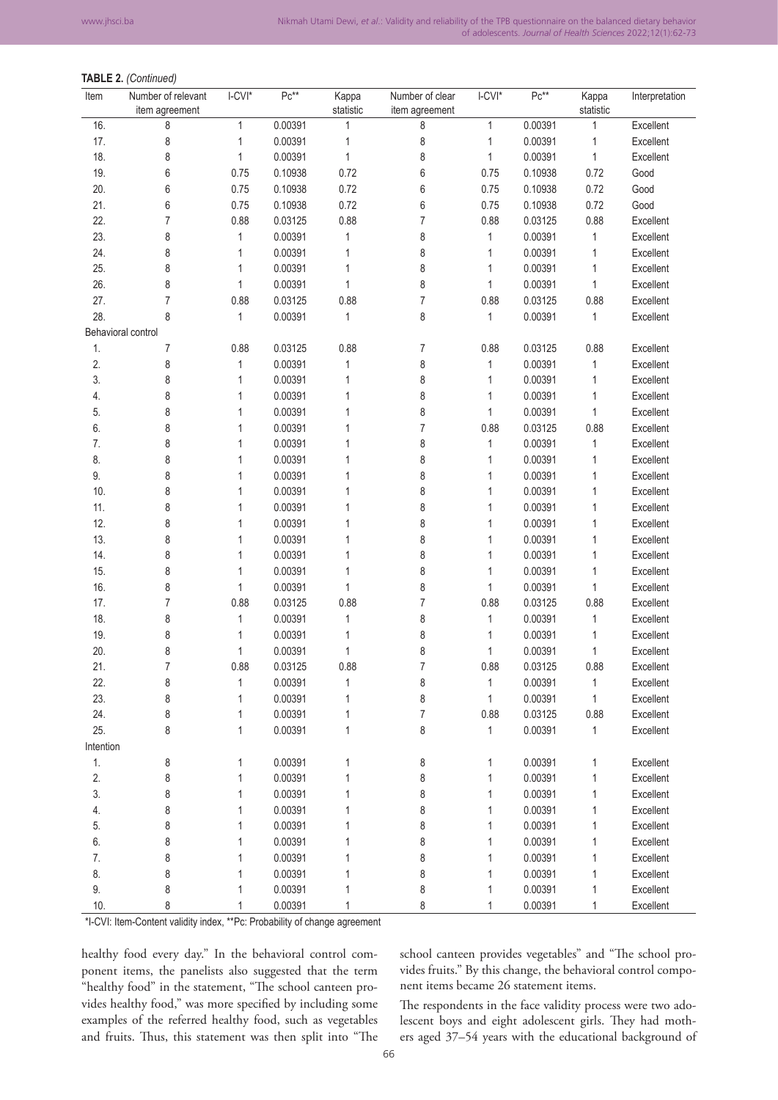## **TABLE 2.** *(Continued)*

| Item               | Number of relevant<br>item agreement | $LCVI^*$     | $Pc***$ | Kappa<br>statistic | Number of clear<br>item agreement | $LCVI^*$     | $Pc***$ | Kappa<br>statistic | Interpretation |
|--------------------|--------------------------------------|--------------|---------|--------------------|-----------------------------------|--------------|---------|--------------------|----------------|
| 16.                | 8                                    | $\mathbf{1}$ | 0.00391 | 1                  | 8                                 | 1            | 0.00391 | 1                  | Excellent      |
| 17.                | 8                                    | 1            | 0.00391 | 1                  | 8                                 | 1            | 0.00391 | 1                  | Excellent      |
| 18.                | 8                                    | 1            | 0.00391 | 1                  | 8                                 | 1            | 0.00391 | 1                  | Excellent      |
| 19.                | 6                                    | 0.75         | 0.10938 | 0.72               | 6                                 | 0.75         | 0.10938 | 0.72               | Good           |
| 20.                | 6                                    | 0.75         | 0.10938 | 0.72               | 6                                 | 0.75         | 0.10938 | 0.72               | Good           |
| 21.                | 6                                    | 0.75         | 0.10938 | 0.72               | 6                                 | 0.75         | 0.10938 | 0.72               | Good           |
| 22.                | 7                                    | 0.88         | 0.03125 | 0.88               | 7                                 | 0.88         | 0.03125 | 0.88               | Excellent      |
| 23.                | 8                                    | 1            | 0.00391 | 1                  | 8                                 | 1            | 0.00391 | 1                  | Excellent      |
| 24.                | 8                                    | 1            | 0.00391 | 1                  | 8                                 | 1            | 0.00391 | 1                  | Excellent      |
| 25.                | 8                                    | 1            | 0.00391 | 1                  | 8                                 | 1            | 0.00391 | 1                  | Excellent      |
| 26.                | 8                                    | 1            | 0.00391 | 1                  | 8                                 | 1            | 0.00391 | 1                  | Excellent      |
| 27.                | 7                                    | 0.88         | 0.03125 | 0.88               | 7                                 | 0.88         | 0.03125 | 0.88               | Excellent      |
| 28.                | 8                                    | 1            | 0.00391 | 1                  | 8                                 | 1            | 0.00391 | 1                  | Excellent      |
| Behavioral control |                                      |              |         |                    |                                   |              |         |                    |                |
| 1.                 | 7                                    | 0.88         | 0.03125 | 0.88               | 7                                 | 0.88         | 0.03125 | 0.88               | Excellent      |
| 2.                 | 8                                    | 1            | 0.00391 | 1                  | 8                                 | 1            | 0.00391 | 1                  | Excellent      |
| 3.                 | 8                                    | 1            | 0.00391 | 1                  | 8                                 | 1            | 0.00391 | 1                  | Excellent      |
| 4.                 | 8                                    | 1            | 0.00391 | 1                  | 8                                 | 1            | 0.00391 | 1                  | Excellent      |
| 5.                 | 8                                    | 1            | 0.00391 | 1                  | 8                                 | 1            | 0.00391 | $\mathbf{1}$       | Excellent      |
| 6.                 | 8                                    | 1            | 0.00391 | 1                  | 7                                 | 0.88         | 0.03125 | 0.88               | Excellent      |
| 7.                 | 8                                    | 1            | 0.00391 | 1                  | 8                                 | 1            | 0.00391 | $\mathbf{1}$       | Excellent      |
| 8.                 | 8                                    | 1            | 0.00391 | 1                  | 8                                 | 1            | 0.00391 | 1                  | Excellent      |
| 9.                 | 8                                    | 1            | 0.00391 | 1                  | 8                                 | 1            | 0.00391 | 1                  | Excellent      |
| 10.                | 8                                    | 1            | 0.00391 | 1                  | 8                                 | 1            | 0.00391 | 1                  | Excellent      |
| 11.                | 8                                    | 1            | 0.00391 | 1                  | 8                                 | 1            | 0.00391 | 1                  | Excellent      |
| 12.                | 8                                    | 1            | 0.00391 | 1                  | 8                                 | 1            | 0.00391 | 1                  | Excellent      |
| 13.                | 8                                    | 1            | 0.00391 | 1                  | 8                                 | 1            | 0.00391 | 1                  | Excellent      |
| 14.                | 8                                    | 1            | 0.00391 | 1                  | 8                                 | 1            | 0.00391 | 1                  | Excellent      |
| 15.                | 8                                    | 1            | 0.00391 | 1                  | 8                                 | 1            | 0.00391 | 1                  | Excellent      |
| 16.                | 8                                    | 1            | 0.00391 | 1                  | 8                                 | $\mathbf{1}$ | 0.00391 | $\mathbf{1}$       | Excellent      |
| 17.                | 7                                    | 0.88         | 0.03125 | 0.88               | $\overline{7}$                    | 0.88         | 0.03125 | 0.88               | Excellent      |
| 18.                | 8                                    | 1            | 0.00391 | 1                  | 8                                 | 1            | 0.00391 | 1                  | Excellent      |
| 19.                | 8                                    | 1            | 0.00391 | 1                  | 8                                 | 1            | 0.00391 | 1                  | Excellent      |
| 20.                | 8                                    | 1            | 0.00391 | 1                  | 8                                 | 1            | 0.00391 | 1                  | Excellent      |
| 21.                | 7                                    | 0.88         | 0.03125 | 0.88               | 7                                 | 0.88         | 0.03125 | 0.88               | Excellent      |
| 22.                | 8                                    | 1            | 0.00391 | 1                  | 8                                 | 1            | 0.00391 | 1                  | Excellent      |
| 23.                | 8                                    | 1            | 0.00391 | 1                  | 8                                 | 1            | 0.00391 | $\mathbf{1}$       | Excellent      |
| 24.                | 8                                    | 1            | 0.00391 | 1                  | $\overline{7}$                    | 0.88         | 0.03125 | 0.88               | Excellent      |
| 25.                | 8                                    | 1            | 0.00391 | 1                  | 8                                 | 1            | 0.00391 | 1                  | Excellent      |
| Intention          |                                      |              |         |                    |                                   |              |         |                    |                |
| 1.                 | 8                                    | 1            | 0.00391 | 1                  | 8                                 | 1            | 0.00391 | $\mathbf{1}$       | Excellent      |
| 2.                 | 8                                    | 1            | 0.00391 | 1                  | 8                                 | 1            | 0.00391 | 1                  | Excellent      |
| 3.                 | 8                                    | 1            | 0.00391 | 1                  | 8                                 | 1            | 0.00391 | 1                  | Excellent      |
| 4.                 | 8                                    | 1            | 0.00391 | 1                  | 8                                 | 1            | 0.00391 | 1                  | Excellent      |
| 5.                 | 8                                    | 1            | 0.00391 | 1                  | 8                                 | 1            | 0.00391 | 1                  | Excellent      |
| 6.                 | 8                                    | 1            | 0.00391 | 1                  | 8                                 | 1            | 0.00391 | 1                  | Excellent      |
| 7.                 | 8                                    | 1            | 0.00391 | 1                  | 8                                 | 1            | 0.00391 | 1                  | Excellent      |
| 8.                 | 8                                    | 1            | 0.00391 | 1                  | 8                                 | 1            | 0.00391 | 1                  | Excellent      |
| 9.                 | 8                                    | 1            | 0.00391 | 1                  | 8                                 | 1            | 0.00391 | 1                  | Excellent      |
| 10.                | 8                                    | 1            | 0.00391 | 1                  | 8                                 | 1            | 0.00391 | 1                  | Excellent      |

\*I‑CVI: Item‑Content validity index, \*\*Pc: Probability of change agreement

healthy food every day." In the behavioral control component items, the panelists also suggested that the term "healthy food" in the statement, "The school canteen provides healthy food," was more specified by including some examples of the referred healthy food, such as vegetables and fruits. Thus, this statement was then split into "The school canteen provides vegetables" and "The school provides fruits." By this change, the behavioral control component items became 26 statement items.

The respondents in the face validity process were two adolescent boys and eight adolescent girls. They had mothers aged 37–54 years with the educational background of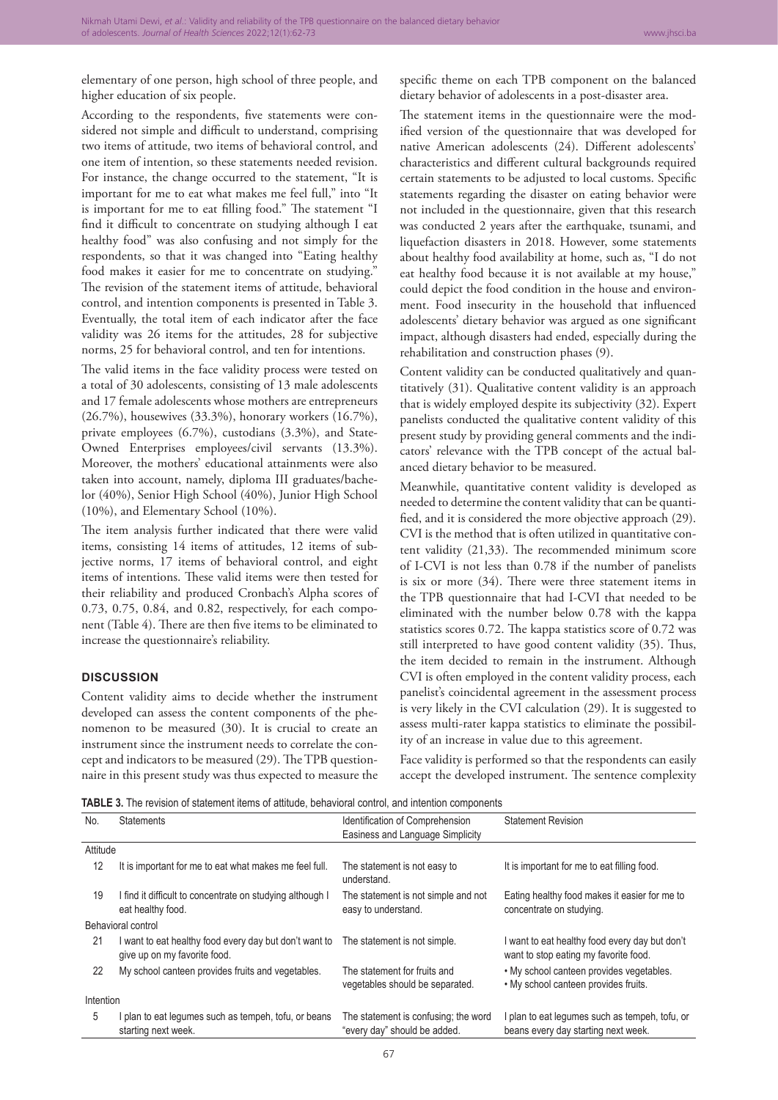elementary of one person, high school of three people, and higher education of six people.

According to the respondents, five statements were considered not simple and difficult to understand, comprising two items of attitude, two items of behavioral control, and one item of intention, so these statements needed revision. For instance, the change occurred to the statement, "It is important for me to eat what makes me feel full," into "It is important for me to eat filling food." The statement "I find it difficult to concentrate on studying although I eat healthy food" was also confusing and not simply for the respondents, so that it was changed into "Eating healthy food makes it easier for me to concentrate on studying." The revision of the statement items of attitude, behavioral control, and intention components is presented in Table 3. Eventually, the total item of each indicator after the face validity was 26 items for the attitudes, 28 for subjective norms, 25 for behavioral control, and ten for intentions.

The valid items in the face validity process were tested on a total of 30 adolescents, consisting of 13 male adolescents and 17 female adolescents whose mothers are entrepreneurs (26.7%), housewives (33.3%), honorary workers (16.7%), private employees (6.7%), custodians (3.3%), and State-Owned Enterprises employees/civil servants (13.3%). Moreover, the mothers' educational attainments were also taken into account, namely, diploma III graduates/bachelor (40%), Senior High School (40%), Junior High School (10%), and Elementary School (10%).

The item analysis further indicated that there were valid items, consisting 14 items of attitudes, 12 items of subjective norms, 17 items of behavioral control, and eight items of intentions. These valid items were then tested for their reliability and produced Cronbach's Alpha scores of 0.73, 0.75, 0.84, and 0.82, respectively, for each component (Table 4). There are then five items to be eliminated to increase the questionnaire's reliability.

#### **DISCUSSION**

Content validity aims to decide whether the instrument developed can assess the content components of the phenomenon to be measured (30). It is crucial to create an instrument since the instrument needs to correlate the concept and indicators to be measured (29). The TPB questionnaire in this present study was thus expected to measure the specific theme on each TPB component on the balanced dietary behavior of adolescents in a post-disaster area.

The statement items in the questionnaire were the modified version of the questionnaire that was developed for native American adolescents (24). Different adolescents' characteristics and different cultural backgrounds required certain statements to be adjusted to local customs. Specific statements regarding the disaster on eating behavior were not included in the questionnaire, given that this research was conducted 2 years after the earthquake, tsunami, and liquefaction disasters in 2018. However, some statements about healthy food availability at home, such as, "I do not eat healthy food because it is not available at my house," could depict the food condition in the house and environment. Food insecurity in the household that influenced adolescents' dietary behavior was argued as one significant impact, although disasters had ended, especially during the rehabilitation and construction phases (9).

Content validity can be conducted qualitatively and quantitatively (31). Qualitative content validity is an approach that is widely employed despite its subjectivity (32). Expert panelists conducted the qualitative content validity of this present study by providing general comments and the indicators' relevance with the TPB concept of the actual balanced dietary behavior to be measured.

Meanwhile, quantitative content validity is developed as needed to determine the content validity that can be quantified, and it is considered the more objective approach (29). CVI is the method that is often utilized in quantitative content validity (21,33). The recommended minimum score of I-CVI is not less than 0.78 if the number of panelists is six or more (34). There were three statement items in the TPB questionnaire that had I-CVI that needed to be eliminated with the number below 0.78 with the kappa statistics scores 0.72. The kappa statistics score of 0.72 was still interpreted to have good content validity (35). Thus, the item decided to remain in the instrument. Although CVI is often employed in the content validity process, each panelist's coincidental agreement in the assessment process is very likely in the CVI calculation (29). It is suggested to assess multi-rater kappa statistics to eliminate the possibility of an increase in value due to this agreement.

Face validity is performed so that the respondents can easily accept the developed instrument. The sentence complexity

**TABLE 3.** The revision of statement items of attitude, behavioral control, and intention components

| No.      | <b>Statements</b>                                                                      | Identification of Comprehension                                      | <b>Statement Revision</b>                                                               |  |  |  |
|----------|----------------------------------------------------------------------------------------|----------------------------------------------------------------------|-----------------------------------------------------------------------------------------|--|--|--|
|          |                                                                                        | Easiness and Language Simplicity                                     |                                                                                         |  |  |  |
| Attitude |                                                                                        |                                                                      |                                                                                         |  |  |  |
| 12       | It is important for me to eat what makes me feel full.                                 | The statement is not easy to<br>understand.                          | It is important for me to eat filling food.                                             |  |  |  |
| 19       | I find it difficult to concentrate on studying although I<br>eat healthy food.         | The statement is not simple and not<br>easy to understand.           | Eating healthy food makes it easier for me to<br>concentrate on studying.               |  |  |  |
|          | Behavioral control                                                                     |                                                                      |                                                                                         |  |  |  |
| 21       | I want to eat healthy food every day but don't want to<br>give up on my favorite food. | The statement is not simple.                                         | I want to eat healthy food every day but don't<br>want to stop eating my favorite food. |  |  |  |
| 22       | My school canteen provides fruits and vegetables.                                      | The statement for fruits and<br>vegetables should be separated.      | . My school canteen provides vegetables.<br>. My school canteen provides fruits.        |  |  |  |
|          | Intention                                                                              |                                                                      |                                                                                         |  |  |  |
| 5        | I plan to eat legumes such as tempeh, tofu, or beans<br>starting next week.            | The statement is confusing; the word<br>"every day" should be added. | plan to eat legumes such as tempeh, tofu, or<br>beans every day starting next week.     |  |  |  |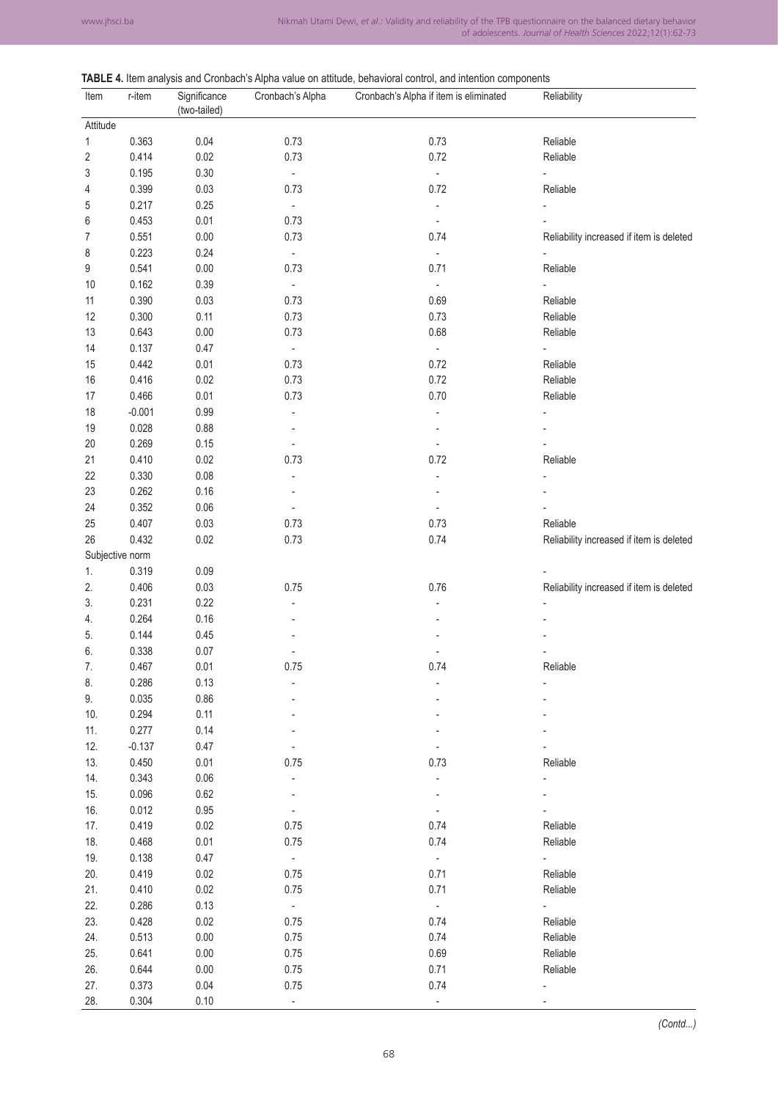#### **TABLE 4.** Item analysis and Cronbach's Alpha value on attitude, behavioral control, and intention components

| Item            | r-item   | Significance | Cronbach's Alpha         | $\blacksquare$ in Rom analysis and strukture replice raids on additional somether is controlled to components<br>Cronbach's Alpha if item is eliminated | Reliability                              |
|-----------------|----------|--------------|--------------------------|---------------------------------------------------------------------------------------------------------------------------------------------------------|------------------------------------------|
| Attitude        |          | (two-tailed) |                          |                                                                                                                                                         |                                          |
| 1               | 0.363    | 0.04         | 0.73                     | 0.73                                                                                                                                                    | Reliable                                 |
| $\sqrt{2}$      | 0.414    | 0.02         | 0.73                     | 0.72                                                                                                                                                    | Reliable                                 |
| 3               | 0.195    | 0.30         | $\omega$                 | $\overline{\phantom{a}}$                                                                                                                                | $\blacksquare$                           |
| 4               | 0.399    | 0.03         | 0.73                     | 0.72                                                                                                                                                    | Reliable                                 |
| 5               | 0.217    | 0.25         | ÷.                       | ÷,                                                                                                                                                      |                                          |
| 6               | 0.453    | 0.01         | 0.73                     | $\overline{\phantom{a}}$                                                                                                                                |                                          |
|                 |          |              | 0.73                     | 0.74                                                                                                                                                    |                                          |
| 7               | 0.551    | 0.00         | $\Box$                   | $\overline{\phantom{a}}$                                                                                                                                | Reliability increased if item is deleted |
| 8               | 0.223    | 0.24         |                          |                                                                                                                                                         |                                          |
| 9               | 0.541    | 0.00         | 0.73                     | 0.71                                                                                                                                                    | Reliable                                 |
| 10              | 0.162    | 0.39         | $\sim$                   | ÷,                                                                                                                                                      |                                          |
| 11              | 0.390    | 0.03         | 0.73                     | 0.69                                                                                                                                                    | Reliable                                 |
| 12              | 0.300    | 0.11         | 0.73                     | 0.73                                                                                                                                                    | Reliable                                 |
| 13              | 0.643    | 0.00         | 0.73                     | 0.68                                                                                                                                                    | Reliable                                 |
| 14              | 0.137    | 0.47         | ÷                        | $\Box$                                                                                                                                                  |                                          |
| 15              | 0.442    | 0.01         | 0.73                     | 0.72                                                                                                                                                    | Reliable                                 |
| 16              | 0.416    | 0.02         | 0.73                     | 0.72                                                                                                                                                    | Reliable                                 |
| 17              | 0.466    | 0.01         | 0.73                     | 0.70                                                                                                                                                    | Reliable                                 |
| 18              | $-0.001$ | 0.99         |                          |                                                                                                                                                         |                                          |
| 19              | 0.028    | 0.88         |                          |                                                                                                                                                         |                                          |
| $20\,$          | 0.269    | 0.15         | $\overline{a}$           |                                                                                                                                                         |                                          |
| 21              | 0.410    | 0.02         | 0.73                     | 0.72                                                                                                                                                    | Reliable                                 |
| 22              | 0.330    | 0.08         |                          |                                                                                                                                                         |                                          |
| 23              | 0.262    | 0.16         |                          |                                                                                                                                                         |                                          |
| 24              | 0.352    | 0.06         |                          |                                                                                                                                                         |                                          |
| 25              | 0.407    | 0.03         | 0.73                     | 0.73                                                                                                                                                    | Reliable                                 |
| 26              | 0.432    | 0.02         | 0.73                     | 0.74                                                                                                                                                    | Reliability increased if item is deleted |
| Subjective norm |          |              |                          |                                                                                                                                                         |                                          |
| 1.              | 0.319    | 0.09         |                          |                                                                                                                                                         |                                          |
| 2.              | 0.406    | 0.03         | 0.75                     | 0.76                                                                                                                                                    | Reliability increased if item is deleted |
| 3.              | 0.231    | 0.22         |                          |                                                                                                                                                         |                                          |
| 4.              | 0.264    | 0.16         |                          |                                                                                                                                                         |                                          |
| 5.              | 0.144    | 0.45         |                          |                                                                                                                                                         |                                          |
| 6.              | 0.338    | 0.07         |                          |                                                                                                                                                         |                                          |
| 7.              | 0.467    | 0.01         | 0.75                     | 0.74                                                                                                                                                    | Reliable                                 |
| 8.              | 0.286    | 0.13         |                          |                                                                                                                                                         |                                          |
| 9.              | 0.035    | 0.86         |                          |                                                                                                                                                         |                                          |
| 10.             | 0.294    | 0.11         |                          |                                                                                                                                                         |                                          |
| 11.             | 0.277    | 0.14         |                          |                                                                                                                                                         |                                          |
| 12.             | $-0.137$ | 0.47         |                          |                                                                                                                                                         |                                          |
| 13.             | 0.450    | 0.01         | 0.75                     | 0.73                                                                                                                                                    | Reliable                                 |
| 14.             | 0.343    | 0.06         |                          | L,                                                                                                                                                      |                                          |
|                 |          |              |                          |                                                                                                                                                         |                                          |
| 15.             | 0.096    | 0.62         |                          |                                                                                                                                                         |                                          |
| 16.             | 0.012    | 0.95         | $\overline{\phantom{a}}$ | $\blacksquare$                                                                                                                                          |                                          |
| 17.             | 0.419    | 0.02         | 0.75                     | 0.74                                                                                                                                                    | Reliable                                 |
| 18.             | 0.468    | 0.01         | 0.75                     | 0.74                                                                                                                                                    | Reliable                                 |
| 19.             | 0.138    | 0.47         | $\omega_{\rm c}$         | $\sim$                                                                                                                                                  | $\mathbf{L} = \mathbf{L}$                |
| 20.             | 0.419    | 0.02         | 0.75                     | 0.71                                                                                                                                                    | Reliable                                 |
| 21.             | 0.410    | 0.02         | 0.75                     | 0.71                                                                                                                                                    | Reliable                                 |
| 22.             | 0.286    | 0.13         | $\omega_{\rm c}$         | $\omega$                                                                                                                                                | a in                                     |
| 23.             | 0.428    | 0.02         | 0.75                     | 0.74                                                                                                                                                    | Reliable                                 |
| 24.             | 0.513    | 0.00         | 0.75                     | 0.74                                                                                                                                                    | Reliable                                 |
| 25.             | 0.641    | 0.00         | 0.75                     | 0.69                                                                                                                                                    | Reliable                                 |
| 26.             | 0.644    | 0.00         | 0.75                     | 0.71                                                                                                                                                    | Reliable                                 |
| 27.             | 0.373    | 0.04         | 0.75                     | 0.74                                                                                                                                                    |                                          |
| 28.             | 0.304    | 0.10         | ۰                        | $\overline{\phantom{a}}$                                                                                                                                |                                          |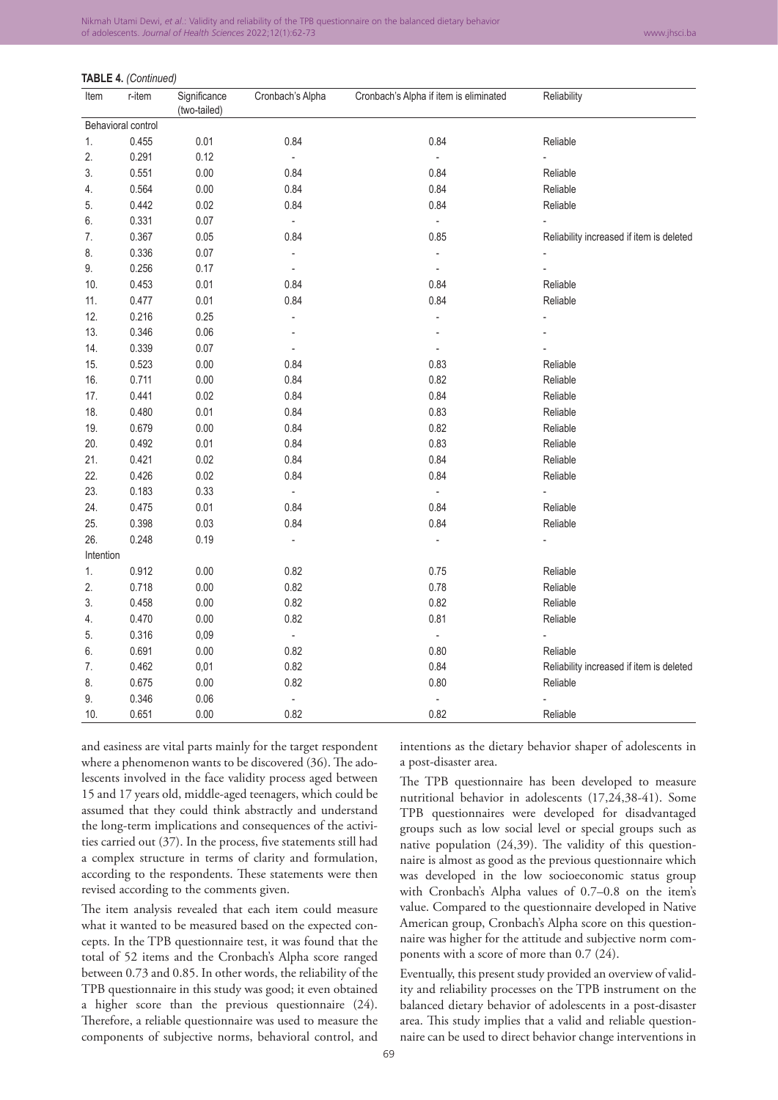#### **TABLE 4.** *(Continued)*

| Item      | r-item             | Significance<br>(two-tailed) | Cronbach's Alpha         | Cronbach's Alpha if item is eliminated | Reliability                              |
|-----------|--------------------|------------------------------|--------------------------|----------------------------------------|------------------------------------------|
|           | Behavioral control |                              |                          |                                        |                                          |
| 1.        | 0.455              | 0.01                         | 0.84                     | 0.84                                   | Reliable                                 |
| 2.        | 0.291              | 0.12                         | $\overline{\phantom{a}}$ | $\blacksquare$                         |                                          |
| 3.        | 0.551              | 0.00                         | 0.84                     | 0.84                                   | Reliable                                 |
| 4.        | 0.564              | 0.00                         | 0.84                     | 0.84                                   | Reliable                                 |
| 5.        | 0.442              | 0.02                         | 0.84                     | 0.84                                   | Reliable                                 |
| 6.        | 0.331              | 0.07                         | ÷,                       | $\overline{a}$                         |                                          |
| 7.        | 0.367              | 0.05                         | 0.84                     | 0.85                                   | Reliability increased if item is deleted |
| 8.        | 0.336              | 0.07                         | ÷,                       | $\overline{a}$                         |                                          |
| 9.        | 0.256              | 0.17                         | $\frac{1}{2}$            | $\overline{\phantom{a}}$               |                                          |
| 10.       | 0.453              | 0.01                         | 0.84                     | 0.84                                   | Reliable                                 |
| 11.       | 0.477              | 0.01                         | 0.84                     | 0.84                                   | Reliable                                 |
| 12.       | 0.216              | 0.25                         | L,                       | ä,                                     |                                          |
| 13.       | 0.346              | 0.06                         |                          |                                        |                                          |
| 14.       | 0.339              | 0.07                         | ÷,                       |                                        |                                          |
| 15.       | 0.523              | 0.00                         | 0.84                     | 0.83                                   | Reliable                                 |
| 16.       | 0.711              | 0.00                         | 0.84                     | 0.82                                   | Reliable                                 |
| 17.       | 0.441              | 0.02                         | 0.84                     | 0.84                                   | Reliable                                 |
| 18.       | 0.480              | 0.01                         | 0.84                     | 0.83                                   | Reliable                                 |
| 19.       | 0.679              | 0.00                         | 0.84                     | 0.82                                   | Reliable                                 |
| 20.       | 0.492              | 0.01                         | 0.84                     | 0.83                                   | Reliable                                 |
| 21.       | 0.421              | 0.02                         | 0.84                     | 0.84                                   | Reliable                                 |
| 22.       | 0.426              | 0.02                         | 0.84                     | 0.84                                   | Reliable                                 |
| 23.       | 0.183              | 0.33                         | ÷,                       | $\overline{a}$                         |                                          |
| 24.       | 0.475              | 0.01                         | 0.84                     | 0.84                                   | Reliable                                 |
| 25.       | 0.398              | 0.03                         | 0.84                     | 0.84                                   | Reliable                                 |
| 26.       | 0.248              | 0.19                         |                          |                                        |                                          |
| Intention |                    |                              |                          |                                        |                                          |
| 1.        | 0.912              | 0.00                         | 0.82                     | 0.75                                   | Reliable                                 |
| 2.        | 0.718              | 0.00                         | 0.82                     | 0.78                                   | Reliable                                 |
| 3.        | 0.458              | 0.00                         | 0.82                     | 0.82                                   | Reliable                                 |
| 4.        | 0.470              | 0.00                         | 0.82                     | 0.81                                   | Reliable                                 |
| 5.        | 0.316              | 0,09                         | $\Box$                   | $\Box$                                 |                                          |
| 6.        | 0.691              | 0.00                         | 0.82                     | 0.80                                   | Reliable                                 |
| 7.        | 0.462              | 0,01                         | 0.82                     | 0.84                                   | Reliability increased if item is deleted |
| 8.        | 0.675              | 0.00                         | 0.82                     | 0.80                                   | Reliable                                 |
| 9.        | 0.346              | 0.06                         | ÷,                       | $\overline{a}$                         |                                          |
| 10.       | 0.651              | 0.00                         | 0.82                     | 0.82                                   | Reliable                                 |

and easiness are vital parts mainly for the target respondent where a phenomenon wants to be discovered (36). The adolescents involved in the face validity process aged between 15 and 17 years old, middle-aged teenagers, which could be assumed that they could think abstractly and understand the long-term implications and consequences of the activities carried out (37). In the process, five statements still had a complex structure in terms of clarity and formulation, according to the respondents. These statements were then revised according to the comments given.

The item analysis revealed that each item could measure what it wanted to be measured based on the expected concepts. In the TPB questionnaire test, it was found that the total of 52 items and the Cronbach's Alpha score ranged between 0.73 and 0.85. In other words, the reliability of the TPB questionnaire in this study was good; it even obtained a higher score than the previous questionnaire (24). Therefore, a reliable questionnaire was used to measure the components of subjective norms, behavioral control, and intentions as the dietary behavior shaper of adolescents in a post-disaster area.

The TPB questionnaire has been developed to measure nutritional behavior in adolescents (17,24,38-41). Some TPB questionnaires were developed for disadvantaged groups such as low social level or special groups such as native population (24,39). The validity of this questionnaire is almost as good as the previous questionnaire which was developed in the low socioeconomic status group with Cronbach's Alpha values of 0.7–0.8 on the item's value. Compared to the questionnaire developed in Native American group, Cronbach's Alpha score on this questionnaire was higher for the attitude and subjective norm components with a score of more than 0.7 (24).

Eventually, this present study provided an overview of validity and reliability processes on the TPB instrument on the balanced dietary behavior of adolescents in a post-disaster area. This study implies that a valid and reliable questionnaire can be used to direct behavior change interventions in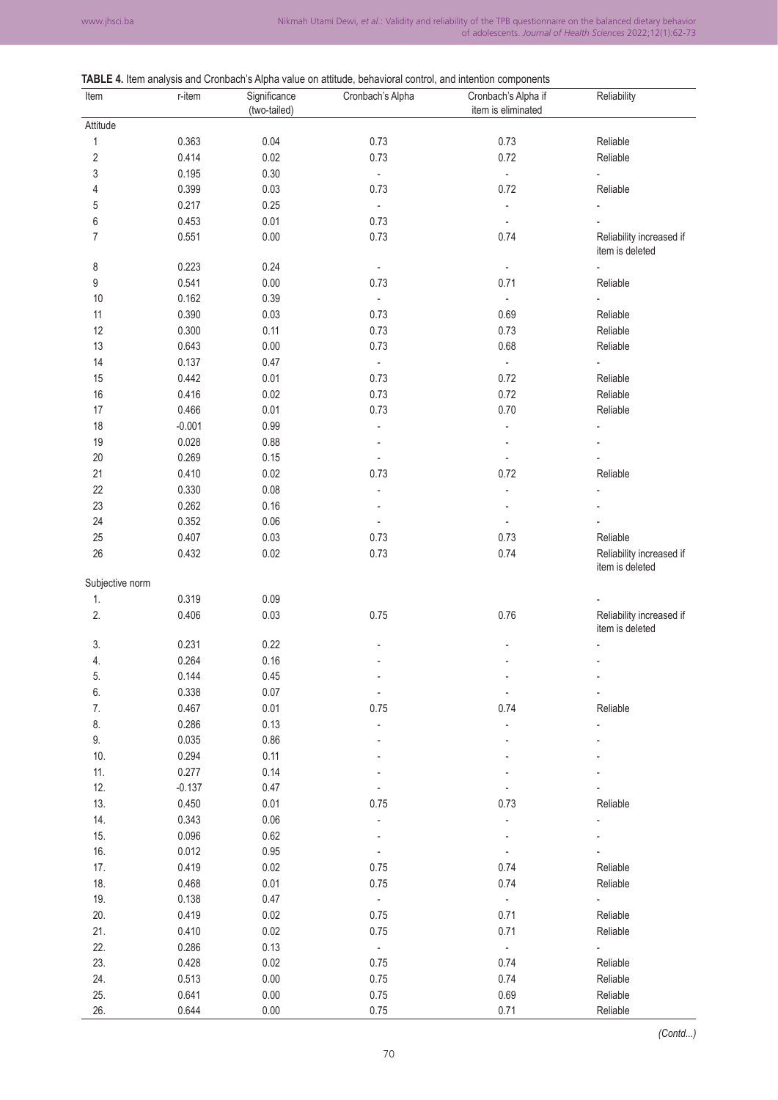# **TABLE 4.** Item analysis and Cronbach's Alpha value on attitude, behavioral control, and intention components

| Item            | r-item   | $\sim$ $\sim$ $\sim$ $\sim$ $\sim$ $\sim$<br>Significance<br>(two-tailed) | Cronbach's Alpha         | $\frac{1}{2}$<br>Cronbach's Alpha if<br>item is eliminated | Reliability                                 |
|-----------------|----------|---------------------------------------------------------------------------|--------------------------|------------------------------------------------------------|---------------------------------------------|
| Attitude        |          |                                                                           |                          |                                                            |                                             |
| 1               | 0.363    | 0.04                                                                      | 0.73                     | 0.73                                                       | Reliable                                    |
| 2               | 0.414    | 0.02                                                                      | 0.73                     | 0.72                                                       | Reliable                                    |
| 3               | 0.195    | 0.30                                                                      | $\Box$                   | ÷.                                                         |                                             |
| 4               | 0.399    | 0.03                                                                      | 0.73                     | 0.72                                                       | Reliable                                    |
| 5               | 0.217    | 0.25                                                                      | $\Box$                   | ÷                                                          |                                             |
| 6               | 0.453    | 0.01                                                                      | 0.73                     | $\overline{\phantom{a}}$                                   |                                             |
| 7               | 0.551    | 0.00                                                                      | 0.73                     | 0.74                                                       | Reliability increased if<br>item is deleted |
| 8               | 0.223    | 0.24                                                                      | $\blacksquare$           | $\overline{\phantom{a}}$                                   |                                             |
| 9               | 0.541    | 0.00                                                                      | 0.73                     | 0.71                                                       | Reliable                                    |
| 10              | 0.162    | 0.39                                                                      | $\Box$                   | ä,                                                         |                                             |
| 11              | 0.390    | 0.03                                                                      | 0.73                     | 0.69                                                       | Reliable                                    |
| 12              | 0.300    | 0.11                                                                      | 0.73                     | 0.73                                                       | Reliable                                    |
| 13              | 0.643    | 0.00                                                                      | 0.73                     | 0.68                                                       | Reliable                                    |
| 14              | 0.137    | 0.47                                                                      | $\bar{\mathbf{z}}$       | ä,                                                         |                                             |
| 15              | 0.442    | 0.01                                                                      | 0.73                     | 0.72                                                       | Reliable                                    |
| 16              | 0.416    | 0.02                                                                      | 0.73                     | 0.72                                                       | Reliable                                    |
| 17              | 0.466    | 0.01                                                                      | 0.73                     | 0.70                                                       | Reliable                                    |
| 18              | $-0.001$ | 0.99                                                                      | ÷,                       | $\overline{a}$                                             |                                             |
| 19              | 0.028    | 0.88                                                                      |                          |                                                            |                                             |
| $20\,$          | 0.269    | 0.15                                                                      | $\blacksquare$           | ÷,                                                         |                                             |
| 21              | 0.410    | 0.02                                                                      | 0.73                     | 0.72                                                       | Reliable                                    |
| 22              | 0.330    | 0.08                                                                      |                          | Ĭ.                                                         |                                             |
| 23              | 0.262    | 0.16                                                                      |                          |                                                            |                                             |
| 24              | 0.352    | 0.06                                                                      | $\blacksquare$           | ä,                                                         |                                             |
| 25              | 0.407    | 0.03                                                                      | 0.73                     | 0.73                                                       | Reliable                                    |
| 26              | 0.432    | 0.02                                                                      | 0.73                     | 0.74                                                       | Reliability increased if<br>item is deleted |
| Subjective norm |          |                                                                           |                          |                                                            |                                             |
| 1.              | 0.319    | 0.09                                                                      |                          |                                                            |                                             |
| 2.              | 0.406    | 0.03                                                                      | 0.75                     | 0.76                                                       | Reliability increased if                    |
|                 |          |                                                                           |                          |                                                            | item is deleted                             |
| 3.              | 0.231    | 0.22                                                                      |                          |                                                            |                                             |
| 4.              | 0.264    | 0.16                                                                      |                          |                                                            | $\overline{\phantom{a}}$                    |
| 5.              | 0.144    | 0.45                                                                      | $\overline{\phantom{a}}$ | $\overline{\phantom{a}}$                                   | $\overline{\phantom{a}}$                    |
| 6.              | 0.338    | 0.07                                                                      | $\blacksquare$           | $\frac{1}{2}$                                              |                                             |
| 7.              | 0.467    | 0.01                                                                      | 0.75                     | 0.74                                                       | Reliable                                    |
| 8.              | 0.286    | 0.13                                                                      |                          |                                                            |                                             |
| 9.              | 0.035    | 0.86                                                                      |                          |                                                            |                                             |
| $10.$           | 0.294    | 0.11                                                                      |                          |                                                            |                                             |
| 11.             | 0.277    | 0.14                                                                      |                          |                                                            |                                             |
| 12.             | $-0.137$ | 0.47                                                                      |                          |                                                            |                                             |
| 13.             | 0.450    | 0.01                                                                      | 0.75                     | 0.73                                                       | Reliable                                    |
| 14.             | 0.343    | 0.06                                                                      | $\blacksquare$           | $\overline{\phantom{a}}$                                   |                                             |
| 15.             | 0.096    | 0.62                                                                      |                          |                                                            |                                             |
| 16.             | 0.012    | 0.95                                                                      | $\blacksquare$           | $\blacksquare$                                             |                                             |
| 17.             | 0.419    | 0.02                                                                      | 0.75                     | 0.74                                                       | Reliable                                    |
| 18.             | 0.468    | 0.01                                                                      | 0.75                     | 0.74                                                       | Reliable                                    |
| 19.             | 0.138    | 0.47                                                                      | $\overline{\phantom{a}}$ | $\blacksquare$                                             |                                             |
| 20.             | 0.419    | 0.02                                                                      | 0.75                     | 0.71                                                       | Reliable                                    |
|                 |          |                                                                           |                          |                                                            |                                             |
| 21.             | 0.410    | 0.02                                                                      | 0.75                     | 0.71                                                       | Reliable                                    |
| 22.             | 0.286    | 0.13                                                                      | $\mathbb{Z}$             | $\mathbb{Z}^2$                                             | $\overline{\phantom{a}}$                    |
| 23.             | 0.428    | 0.02                                                                      | 0.75                     | 0.74                                                       | Reliable                                    |
| 24.             | 0.513    | 0.00                                                                      | 0.75                     | 0.74                                                       | Reliable                                    |
| 25.             | 0.641    | 0.00                                                                      | 0.75                     | 0.69                                                       | Reliable                                    |
| 26.             | 0.644    | 0.00                                                                      | 0.75                     | 0.71                                                       | Reliable                                    |

*(Contd...)*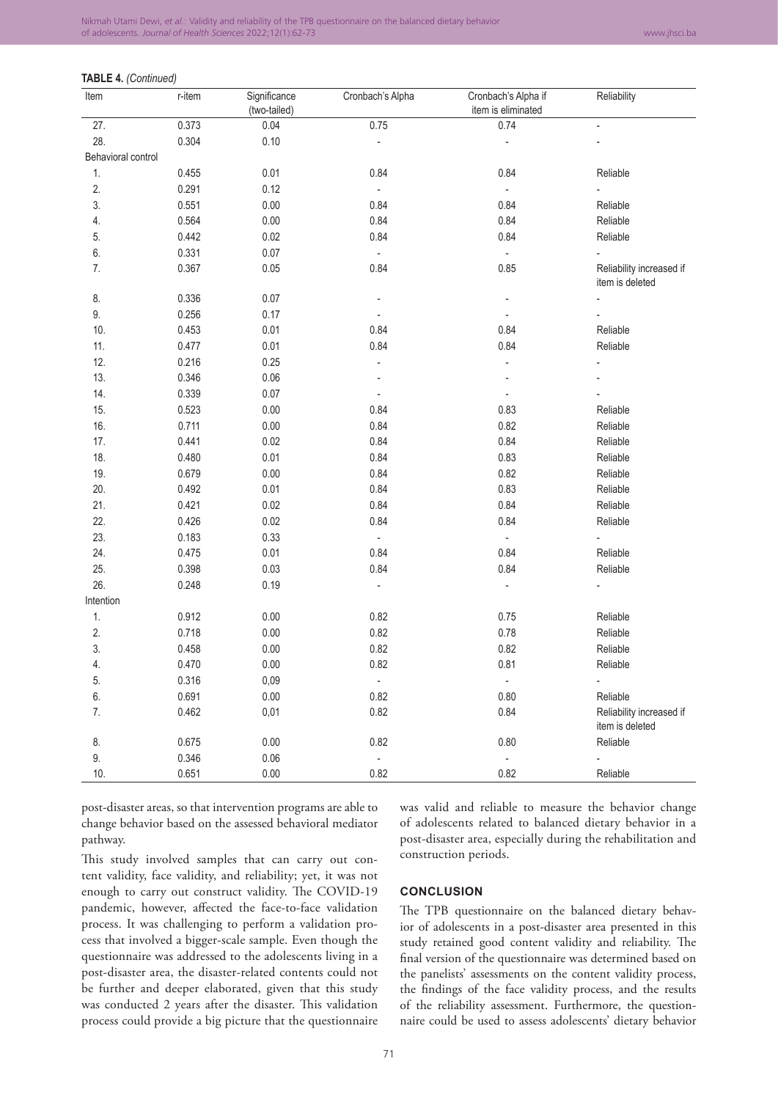## **TABLE 4.** *(Continued)*

| Item               | r-item | Significance<br>(two-tailed) | Cronbach's Alpha         | Cronbach's Alpha if<br>item is eliminated | Reliability                                 |
|--------------------|--------|------------------------------|--------------------------|-------------------------------------------|---------------------------------------------|
| 27.                | 0.373  | 0.04                         | 0.75                     | 0.74                                      | $\overline{a}$                              |
| 28.                | 0.304  | 0.10                         | ÷                        | ÷                                         |                                             |
| Behavioral control |        |                              |                          |                                           |                                             |
| 1.                 | 0.455  | 0.01                         | 0.84                     | 0.84                                      | Reliable                                    |
| 2.                 | 0.291  | 0.12                         | $\Box$                   | $\overline{\phantom{a}}$                  |                                             |
| 3.                 | 0.551  | 0.00                         | 0.84                     | 0.84                                      | Reliable                                    |
| 4.                 | 0.564  | 0.00                         | 0.84                     | 0.84                                      | Reliable                                    |
| 5.                 | 0.442  | 0.02                         | 0.84                     | 0.84                                      | Reliable                                    |
| 6.                 | 0.331  | 0.07                         | $\overline{\phantom{a}}$ | $\blacksquare$                            |                                             |
| 7.                 | 0.367  | 0.05                         | 0.84                     | 0.85                                      | Reliability increased if<br>item is deleted |
| 8.                 | 0.336  | 0.07                         |                          |                                           |                                             |
| 9.                 | 0.256  | 0.17                         |                          |                                           |                                             |
| 10.                | 0.453  | 0.01                         | 0.84                     | 0.84                                      | Reliable                                    |
| 11.                | 0.477  | 0.01                         | 0.84                     | 0.84                                      | Reliable                                    |
| 12.                | 0.216  | 0.25                         | ÷,                       | L                                         |                                             |
| 13.                | 0.346  | 0.06                         |                          |                                           |                                             |
| 14.                | 0.339  | 0.07                         | $\overline{\phantom{a}}$ |                                           |                                             |
| 15.                | 0.523  | 0.00                         | 0.84                     | 0.83                                      | Reliable                                    |
| 16.                | 0.711  | 0.00                         | 0.84                     | 0.82                                      | Reliable                                    |
| 17.                | 0.441  | 0.02                         | 0.84                     | 0.84                                      | Reliable                                    |
| 18.                | 0.480  | 0.01                         | 0.84                     | 0.83                                      | Reliable                                    |
| 19.                | 0.679  | 0.00                         | 0.84                     | 0.82                                      | Reliable                                    |
| 20.                | 0.492  | 0.01                         | 0.84                     | 0.83                                      | Reliable                                    |
| 21.                | 0.421  | 0.02                         | 0.84                     | 0.84                                      | Reliable                                    |
| 22.                | 0.426  | 0.02                         | 0.84                     | 0.84                                      | Reliable                                    |
| 23.                | 0.183  | 0.33                         | $\blacksquare$           | $\blacksquare$                            |                                             |
| 24.                | 0.475  | 0.01                         | 0.84                     | 0.84                                      | Reliable                                    |
| 25.                | 0.398  | 0.03                         | 0.84                     | 0.84                                      | Reliable                                    |
| 26.                | 0.248  | 0.19                         |                          |                                           |                                             |
| Intention          |        |                              |                          |                                           |                                             |
| 1.                 | 0.912  | 0.00                         | 0.82                     | 0.75                                      | Reliable                                    |
| 2.                 | 0.718  | 0.00                         | 0.82                     | 0.78                                      | Reliable                                    |
| 3.                 | 0.458  | 0.00                         | 0.82                     | 0.82                                      | Reliable                                    |
| 4.                 | 0.470  | 0.00                         | 0.82                     | 0.81                                      | Reliable                                    |
| 5.                 | 0.316  | 0,09                         | $\overline{\phantom{a}}$ | $\Box$                                    | $\overline{\phantom{a}}$                    |
| 6.                 | 0.691  | 0.00                         | 0.82                     | 0.80                                      | Reliable                                    |
| 7.                 | 0.462  | 0,01                         | 0.82                     | 0.84                                      | Reliability increased if<br>item is deleted |
| 8.                 | 0.675  | 0.00                         | 0.82                     | 0.80                                      | Reliable                                    |
| 9.                 | 0.346  | 0.06                         | $\blacksquare$           | ÷                                         | ÷,                                          |
| 10.                | 0.651  | 0.00                         | 0.82                     | 0.82                                      | Reliable                                    |

post-disaster areas, so that intervention programs are able to change behavior based on the assessed behavioral mediator pathway.

This study involved samples that can carry out content validity, face validity, and reliability; yet, it was not enough to carry out construct validity. The COVID-19 pandemic, however, affected the face-to-face validation process. It was challenging to perform a validation process that involved a bigger-scale sample. Even though the questionnaire was addressed to the adolescents living in a post-disaster area, the disaster-related contents could not be further and deeper elaborated, given that this study was conducted 2 years after the disaster. This validation process could provide a big picture that the questionnaire was valid and reliable to measure the behavior change of adolescents related to balanced dietary behavior in a post-disaster area, especially during the rehabilitation and construction periods.

#### **CONCLUSION**

The TPB questionnaire on the balanced dietary behavior of adolescents in a post-disaster area presented in this study retained good content validity and reliability. The final version of the questionnaire was determined based on the panelists' assessments on the content validity process, the findings of the face validity process, and the results of the reliability assessment. Furthermore, the questionnaire could be used to assess adolescents' dietary behavior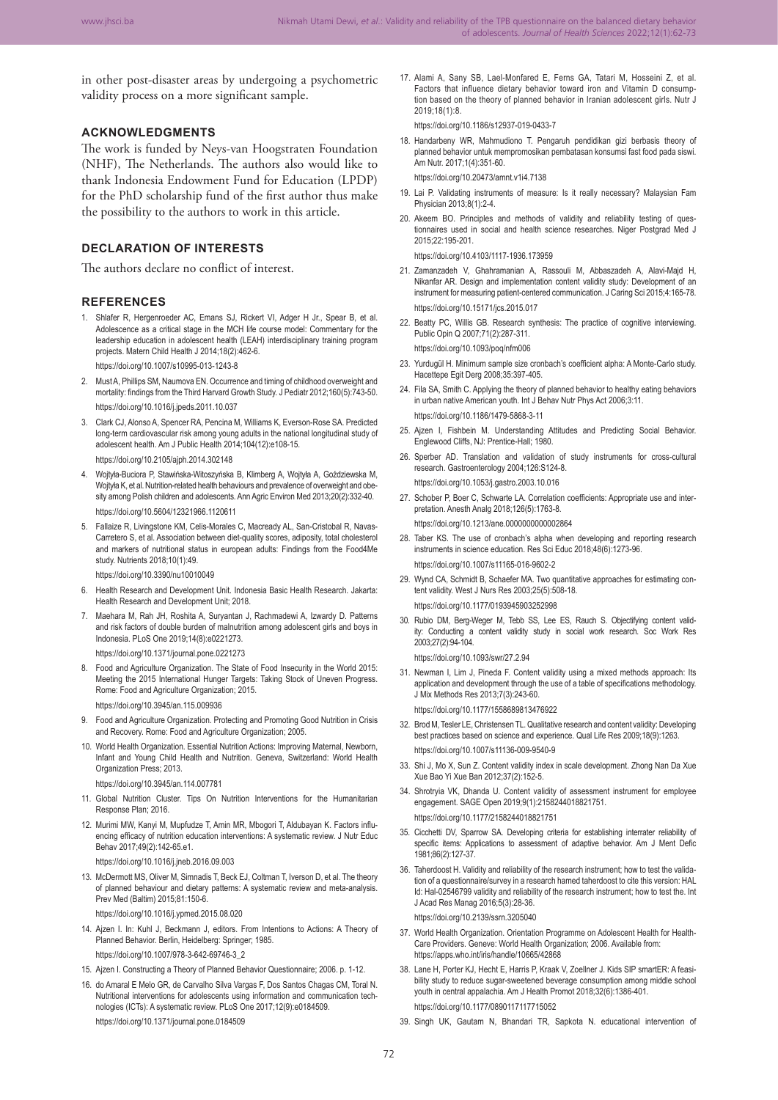in other post-disaster areas by undergoing a psychometric validity process on a more significant sample.

#### **ACKNOWLEDGMENTS**

The work is funded by Neys-van Hoogstraten Foundation (NHF), The Netherlands. The authors also would like to thank Indonesia Endowment Fund for Education (LPDP) for the PhD scholarship fund of the first author thus make the possibility to the authors to work in this article.

## **DECLARATION OF INTERESTS**

The authors declare no conflict of interest.

#### **REFERENCES**

1. Shlafer R, Hergenroeder AC, Emans SJ, Rickert VI, Adger H Jr., Spear B, et al. Adolescence as a critical stage in the MCH life course model: Commentary for the leadership education in adolescent health (LEAH) interdisciplinary training program projects. Matern Child Health J 2014;18(2):462-6.

https://doi.org/10.1007/s10995-013-1243-8

- 2. Must A, Phillips SM, Naumova EN. Occurrence and timing of childhood overweight and mortality: findings from the Third Harvard Growth Study. J Pediatr 2012;160(5):743-50. https://doi.org/10.1016/j.jpeds.2011.10.037
- 3. Clark CJ, Alonso A, Spencer RA, Pencina M, Williams K, Everson-Rose SA. Predicted long-term cardiovascular risk among young adults in the national longitudinal study of adolescent health. Am J Public Health 2014;104(12):e108-15. https://doi.org/10.2105/ajph.2014.302148
- 4. Wojtyła-Buciora P, Stawińska-Witoszyńska B, Klimberg A, Wojtyła A, Goździewska M, Woityła K, et al. Nutrition-related health behaviours and prevalence of overweight and obe sity among Polish children and adolescents. Ann Agric Environ Med 2013;20(2):332-40. https://doi.org/10.5604/12321966.1120611
- 5. Fallaize R, Livingstone KM, Celis-Morales C, Macready AL, San-Cristobal R, Navas-Carretero S, et al. Association between diet-quality scores, adiposity, total cholesterol and markers of nutritional status in european adults: Findings from the Food4Me study. Nutrients 2018;10(1):49.

https://doi.org/10.3390/nu10010049

- 6. Health Research and Development Unit. Indonesia Basic Health Research. Jakarta: Health Research and Development Unit; 2018.
- 7. Maehara M, Rah JH, Roshita A, Suryantan J, Rachmadewi A, Izwardy D. Patterns and risk factors of double burden of malnutrition among adolescent girls and boys in Indonesia. PLoS One 2019;14(8):e0221273.

https://doi.org/10.1371/journal.pone.0221273

8. Food and Agriculture Organization. The State of Food Insecurity in the World 2015: Meeting the 2015 International Hunger Targets: Taking Stock of Uneven Progress. Rome: Food and Agriculture Organization; 2015.

https://doi.org/10.3945/an.115.009936

- 9. Food and Agriculture Organization. Protecting and Promoting Good Nutrition in Crisis and Recovery. Rome: Food and Agriculture Organization; 2005.
- 10. World Health Organization. Essential Nutrition Actions: Improving Maternal, Newborn, Infant and Young Child Health and Nutrition. Geneva, Switzerland: World Health Organization Press; 2013.
	- https://doi.org/10.3945/an.114.007781
- 11. Global Nutrition Cluster. Tips On Nutrition Interventions for the Humanitarian Response Plan; 2016.
- 12. Murimi MW, Kanyi M, Mupfudze T, Amin MR, Mbogori T, Aldubayan K. Factors influ‑ encing efficacy of nutrition education interventions: A systematic review. J Nutr Educ Behav 2017;49(2):142-65.e1.
	- https://doi.org/10.1016/j.jneb.2016.09.003
- 13. McDermott MS, Oliver M, Simnadis T, Beck EJ, Coltman T, Iverson D, et al. The theory of planned behaviour and dietary patterns: A systematic review and meta-analysis. Prev Med (Baltim) 2015;81:150-6.

https://doi.org/10.1016/j.ypmed.2015.08.020

- 14. Ajzen I. In: Kuhl J, Beckmann J, editors. From Intentions to Actions: A Theory of Planned Behavior. Berlin, Heidelberg: Springer; 1985. https://doi.org/10.1007/978-3-642-69746-3\_2
- 15. Ajzen I. Constructing a Theory of Planned Behavior Questionnaire; 2006. p. 1-12.
- 16. do Amaral E Melo GR, de Carvalho Silva Vargas F, Dos Santos Chagas CM, Toral N. Nutritional interventions for adolescents using information and communication technologies (ICTs): A systematic review. PLoS One 2017;12(9):e0184509. https://doi.org/10.1371/journal.pone.0184509

17. Alami A, Sany SB, Lael-Monfared E, Ferns GA, Tatari M, Hosseini Z, et al. Factors that influence dietary behavior toward iron and Vitamin D consumption based on the theory of planned behavior in Iranian adolescent girls. Nutr J 2019;18(1):8.

https://doi.org/10.1186/s12937-019-0433-7

18. Handarbeny WR, Mahmudiono T. Pengaruh pendidikan gizi berbasis theory of planned behavior untuk mempromosikan pembatasan konsumsi fast food pada siswi. Am Nutr. 2017;1(4):351-60.

https://doi.org/10.20473/amnt.v1i4.7138

- 19. Lai P. Validating instruments of measure: Is it really necessary? Malaysian Fam Physician 2013;8(1):2-4.
- 20. Akeem BO. Principles and methods of validity and reliability testing of questionnaires used in social and health science researches. Niger Postgrad Med J 2015;22:195-201.

https://doi.org/10.4103/1117-1936.173959

- 21. Zamanzadeh V, Ghahramanian A, Rassouli M, Abbaszadeh A, Alavi-Majd H, Nikanfar AR. Design and implementation content validity study: Development of an instrument for measuring patient-centered communication. J Caring Sci 2015;4:165-78. https://doi.org/10.15171/jcs.2015.017
- 22. Beatty PC, Willis GB. Research synthesis: The practice of cognitive interviewing. Public Opin Q 2007;71(2):287-311. https://doi.org/10.1093/poq/nfm006

23. Yurdugül H. Minimum sample size cronbach's coefficient alpha: A Monte-Carlo study. Hacettepe Egit Derg 2008;35:397-405.

- 24. Fila SA, Smith C. Applying the theory of planned behavior to healthy eating behaviors in urban native American youth. Int J Behav Nutr Phys Act 2006;3:11. https://doi.org/10.1186/1479-5868-3-11
- 25. Ajzen I, Fishbein M. Understanding Attitudes and Predicting Social Behavior. Englewood Cliffs, NJ: Prentice-Hall; 1980.
- 26. Sperber AD. Translation and validation of study instruments for cross-cultural research. Gastroenterology 2004;126:S124-8.

https://doi.org/10.1053/j.gastro.2003.10.016

27. Schober P, Boer C, Schwarte LA. Correlation coefficients: Appropriate use and interpretation. Anesth Analg 2018;126(5):1763-8. https://doi.org/10.1213/ane.0000000000002864

28. Taber KS. The use of cronbach's alpha when developing and reporting research instruments in science education. Res Sci Educ 2018;48(6):1273-96.

https://doi.org/10.1007/s11165-016-9602-2

29. Wynd CA, Schmidt B, Schaefer MA. Two quantitative approaches for estimating content validity. West J Nurs Res 2003;25(5):508-18.

https://doi.org/10.1177/0193945903252998

30. Rubio DM, Berg-Weger M, Tebb SS, Lee ES, Rauch S. Objectifying content valid‑ ity: Conducting a content validity study in social work research. Soc Work Res 2003;27(2):94-104.

https://doi.org/10.1093/swr/27.2.94

31. Newman I, Lim J, Pineda F. Content validity using a mixed methods approach: Its application and development through the use of a table of specifications methodology. J Mix Methods Res 2013;7(3):243-60.

https://doi.org/10.1177/1558689813476922

- 32. Brod M, Tesler LE, Christensen TL. Qualitative research and content validity: Developing best practices based on science and experience. Qual Life Res 2009;18(9):1263. https://doi.org/10.1007/s11136-009-9540-9
- 33. Shi J, Mo X, Sun Z. Content validity index in scale development. Zhong Nan Da Xue Xue Bao Yi Xue Ban 2012;37(2):152-5.
- 34. Shrotryia VK, Dhanda U. Content validity of assessment instrument for employee engagement. SAGE Open 2019;9(1):2158244018821751. https://doi.org/10.1177/2158244018821751
- 35. Cicchetti DV, Sparrow SA. Developing criteria for establishing interrater reliability of specific items: Applications to assessment of adaptive behavior. Am J Ment Defic 1981;86(2):127-37.
- 36. Taherdoost H. Validity and reliability of the research instrument; how to test the validation of a questionnaire/survey in a research hamed taherdoost to cite this version: HAL Id: Hal-02546799 validity and reliability of the research instrument; how to test the. Int J Acad Res Manag 2016;5(3):28-36.

https://doi.org/10.2139/ssrn.3205040

- 37. World Health Organization. Orientation Programme on Adolescent Health for Health-Care Providers. Geneve: World Health Organization; 2006. Available from: https://apps.who.int/iris/handle/10665/42868
- 38. Lane H, Porter KJ, Hecht E, Harris P, Kraak V, Zoellner J, Kids SIP smartER: A feasi. bility study to reduce sugar-sweetened beverage consumption among middle school youth in central appalachia. Am J Health Promot 2018;32(6):1386-401. https://doi.org/10.1177/0890117117715052
- 39. Singh UK, Gautam N, Bhandari TR, Sapkota N. educational intervention of